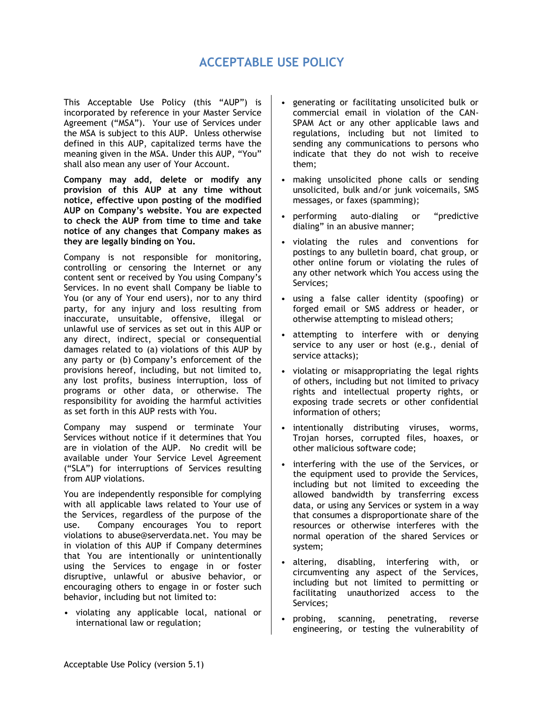## **ACCEPTABLE USE POLICY**

This Acceptable Use Policy (this "AUP") is incorporated by reference in your Master Service Agreement ("MSA"). Your use of Services under the MSA is subject to this AUP. Unless otherwise defined in this AUP, capitalized terms have the meaning given in the MSA. Under this AUP, "You" shall also mean any user of Your Account.

**Company may add, delete or modify any provision of this AUP at any time without notice, effective upon posting of the modified AUP on Company's website. You are expected to check the AUP from time to time and take notice of any changes that Company makes as they are legally binding on You.**

Company is not responsible for monitoring, controlling or censoring the Internet or any content sent or received by You using Company's Services. In no event shall Company be liable to You (or any of Your end users), nor to any third party, for any injury and loss resulting from inaccurate, unsuitable, offensive, illegal or unlawful use of services as set out in this AUP or any direct, indirect, special or consequential damages related to (a) violations of this AUP by any party or (b) Company's enforcement of the provisions hereof, including, but not limited to, any lost profits, business interruption, loss of programs or other data, or otherwise. The responsibility for avoiding the harmful activities as set forth in this AUP rests with You.

Company may suspend or terminate Your Services without notice if it determines that You are in violation of the AUP. No credit will be available under Your Service Level Agreement ("SLA") for interruptions of Services resulting from AUP violations.

You are independently responsible for complying with all applicable laws related to Your use of the Services, regardless of the purpose of the use. Company encourages You to report violations to abuse@serverdata.net. You may be in violation of this AUP if Company determines that You are intentionally or unintentionally using the Services to engage in or foster disruptive, unlawful or abusive behavior, or encouraging others to engage in or foster such behavior, including but not limited to:

• violating any applicable local, national or international law or regulation;

- generating or facilitating unsolicited bulk or commercial email in violation of the CAN-SPAM Act or any other applicable laws and regulations, including but not limited to sending any communications to persons who indicate that they do not wish to receive them;
- making unsolicited phone calls or sending unsolicited, bulk and/or junk voicemails, SMS messages, or faxes (spamming);
- performing auto-dialing or "predictive dialing" in an abusive manner;
- violating the rules and conventions for postings to any bulletin board, chat group, or other online forum or violating the rules of any other network which You access using the Services;
- using a false caller identity (spoofing) or forged email or SMS address or header, or otherwise attempting to mislead others;
- attempting to interfere with or denying service to any user or host (e.g., denial of service attacks);
- violating or misappropriating the legal rights of others, including but not limited to privacy rights and intellectual property rights, or exposing trade secrets or other confidential information of others;
- intentionally distributing viruses, worms, Trojan horses, corrupted files, hoaxes, or other malicious software code;
- interfering with the use of the Services, or the equipment used to provide the Services, including but not limited to exceeding the allowed bandwidth by transferring excess data, or using any Services or system in a way that consumes a disproportionate share of the resources or otherwise interferes with the normal operation of the shared Services or system;
- altering, disabling, interfering with, or circumventing any aspect of the Services, including but not limited to permitting or facilitating unauthorized access to the Services;
- probing, scanning, penetrating, reverse engineering, or testing the vulnerability of